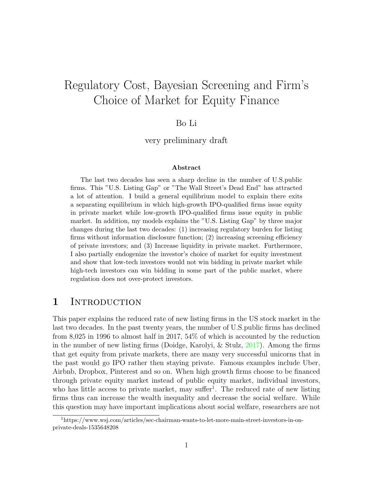# Regulatory Cost, Bayesian Screening and Firm's Choice of Market for Equity Finance

#### Bo Li

very preliminary draft

#### Abstract

The last two decades has seen a sharp decline in the number of U.S.public firms. This "U.S. Listing Gap" or "The Wall Street's Dead End" has attracted a lot of attention. I build a general equilibrium model to explain there exits a separating equilibrium in which high-growth IPO-qualified firms issue equity in private market while low-growth IPO-qualified firms issue equity in public market. In addition, my models explains the "U.S. Listing Gap" by three major changes during the last two decades: (1) increasing regulatory burden for listing firms without information disclosure function; (2) increasing screening efficiency of private investors; and (3) Increase liquidity in private market. Furthermore, I also partially endogenize the investor's choice of market for equity investment and show that low-tech investors would not win bidding in private market while high-tech investors can win bidding in some part of the public market, where regulation does not over-protect investors.

### 1 INTRODUCTION

This paper explains the reduced rate of new listing firms in the US stock market in the last two decades. In the past twenty years, the number of U.S.public firms has declined from 8,025 in 1996 to almost half in 2017, 54% of which is accounted by the reduction in the number of new listing firms (Doidge, Karolyi, & Stulz, [2017\)](#page-19-0). Among the firms that get equity from private markets, there are many very successful unicorns that in the past would go IPO rather then staying private. Famous examples include Uber, Airbnb, Dropbox, Pinterest and so on. When high growth firms choose to be financed through private equity market instead of public equity market, individual investors, who has little access to private market, may suffer<sup>[1](#page-0-0)</sup>. The reduced rate of new listing firms thus can increase the wealth inequality and decrease the social welfare. While this question may have important implications about social welfare, researchers are not

<span id="page-0-0"></span><sup>1</sup>https://www.wsj.com/articles/sec-chairman-wants-to-let-more-main-street-investors-in-onprivate-deals-1535648208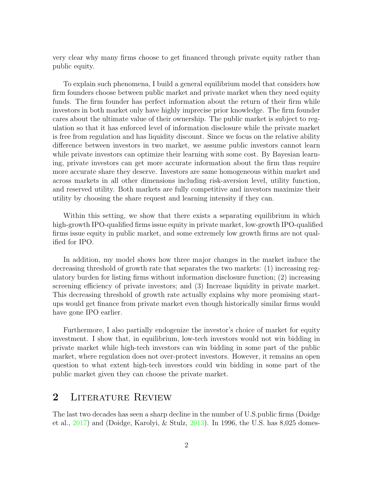very clear why many firms choose to get financed through private equity rather than public equity.

To explain such phenomena, I build a general equilibrium model that considers how firm founders choose between public market and private market when they need equity funds. The firm founder has perfect information about the return of their firm while investors in both market only have highly imprecise prior knowledge. The firm founder cares about the ultimate value of their ownership. The public market is subject to regulation so that it has enforced level of information disclosure while the private market is free from regulation and has liquidity discount. Since we focus on the relative ability difference between investors in two market, we assume public investors cannot learn while private investors can optimize their learning with some cost. By Bayesian learning, private investors can get more accurate information about the firm thus require more accurate share they deserve. Investors are same homogeneous within market and across markets in all other dimensions including risk-aversion level, utility function, and reserved utility. Both markets are fully competitive and investors maximize their utility by choosing the share request and learning intensity if they can.

Within this setting, we show that there exists a separating equilibrium in which high-growth IPO-qualified firms issue equity in private market, low-growth IPO-qualified firms issue equity in public market, and some extremely low growth firms are not qualified for IPO.

In addition, my model shows how three major changes in the market induce the decreasing threshold of growth rate that separates the two markets: (1) increasing regulatory burden for listing firms without information disclosure function; (2) increasing screening efficiency of private investors; and (3) Increase liquidity in private market. This decreasing threshold of growth rate actually explains why more promising startups would get finance from private market even though historically similar firms would have gone IPO earlier.

Furthermore, I also partially endogenize the investor's choice of market for equity investment. I show that, in equilibrium, low-tech investors would not win bidding in private market while high-tech investors can win bidding in some part of the public market, where regulation does not over-protect investors. However, it remains an open question to what extent high-tech investors could win bidding in some part of the public market given they can choose the private market.

# 2 LITERATURE REVIEW

The last two decades has seen a sharp decline in the number of U.S.public firms (Doidge et al., [2017\)](#page-19-0) and (Doidge, Karolyi, & Stulz, [2013\)](#page-19-1). In 1996, the U.S. has 8,025 domes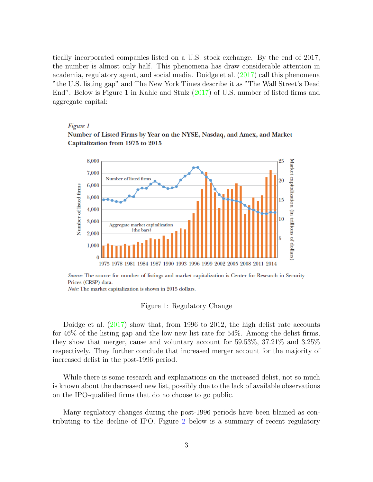tically incorporated companies listed on a U.S. stock exchange. By the end of 2017, the number is almost only half. This phenomena has draw considerable attention in academia, regulatory agent, and social media. Doidge et al. [\(2017\)](#page-19-0) call this phenomena "the U.S. listing gap" and The New York Times describe it as "The Wall Street's Dead End". Below is Figure 1 in Kahle and Stulz [\(2017\)](#page-19-2) of U.S. number of listed firms and aggregate capital:

#### Figure 1

Number of Listed Firms by Year on the NYSE, Nasdaq, and Amex, and Market Capitalization from 1975 to 2015



Source: The source for number of listings and market capitalization is Center for Research in Security Prices (CRSP) data.

Note: The market capitalization is shown in 2015 dollars.

#### Figure 1: Regulatory Change

Doidge et al.  $(2017)$  show that, from 1996 to 2012, the high delist rate accounts for 46% of the listing gap and the low new list rate for 54%. Among the delist firms, they show that merger, cause and voluntary account for 59.53%, 37.21% and 3.25% respectively. They further conclude that increased merger account for the majority of increased delist in the post-1996 period.

While there is some research and explanations on the increased delist, not so much is known about the decreased new list, possibly due to the lack of available observations on the IPO-qualified firms that do no choose to go public.

Many regulatory changes during the post-1996 periods have been blamed as contributing to the decline of IPO. Figure [2](#page-3-0) below is a summary of recent regulatory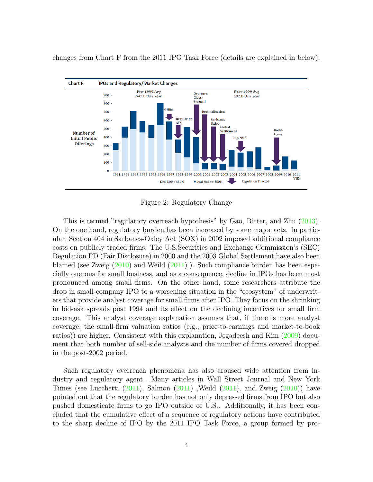

changes from Chart F from the 2011 IPO Task Force (details are explained in below).

<span id="page-3-0"></span>Figure 2: Regulatory Change

This is termed "regulatory overreach hypothesis" by Gao, Ritter, and Zhu [\(2013\)](#page-19-3). On the one hand, regulatory burden has been increased by some major acts. In particular, Section 404 in Sarbanes-Oxley Act (SOX) in 2002 imposed additional compliance costs on publicly traded firms. The U.S.Securities and Exchange Commission's (SEC) Regulation FD (Fair Disclosure) in 2000 and the 2003 Global Settlement have also been blamed (see Zweig [\(2010\)](#page-19-4) and Weild [\(2011\)](#page-19-5) ). Such compliance burden has been especially onerous for small business, and as a consequence, decline in IPOs has been most pronounced among small firms. On the other hand, some researchers attribute the drop in small-company IPO to a worsening situation in the "ecosystem" of underwriters that provide analyst coverage for small firms after IPO. They focus on the shrinking in bid-ask spreads post 1994 and its effect on the declining incentives for small firm coverage. This analyst coverage explanation assumes that, if there is more analyst coverage, the small-firm valuation ratios (e.g., price-to-earnings and market-to-book ratios)) are higher. Consistent with this explanation, Jegadeesh and Kim [\(2009\)](#page-19-6) document that both number of sell-side analysts and the number of firms covered dropped in the post-2002 period.

Such regulatory overreach phenomena has also aroused wide attention from industry and regulatory agent. Many articles in Wall Street Journal and New York Times (see Lucchetti  $(2011)$ , Salmon  $(2011)$ , Weild  $(2011)$ , and Zweig  $(2010)$ ) have pointed out that the regulatory burden has not only depressed firms from IPO but also pushed domesticate firms to go IPO outside of U.S.. Additionally, it has been concluded that the cumulative effect of a sequence of regulatory actions have contributed to the sharp decline of IPO by the 2011 IPO Task Force, a group formed by pro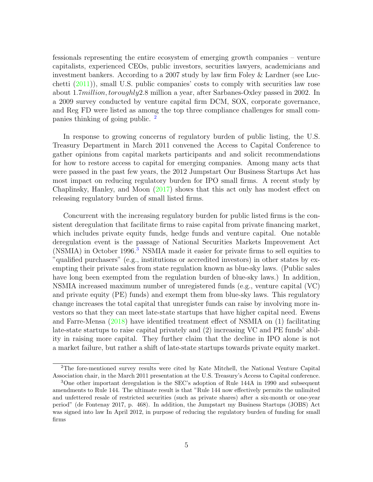fessionals representing the entire ecosystem of emerging growth companies – venture capitalists, experienced CEOs, public investors, securities lawyers, academicians and investment bankers. According to a 2007 study by law firm Foley & Lardner (see Lucchetti [\(2011\)](#page-19-7)), small U.S. public companies' costs to comply with securities law rose about 1.7million, toroughly2.8 million a year, after Sarbanes-Oxley passed in 2002. In a 2009 survey conducted by venture capital firm DCM, SOX, corporate governance, and Reg FD were listed as among the top three compliance challenges for small companies thinking of going public. [2](#page-4-0)

In response to growing concerns of regulatory burden of public listing, the U.S. Treasury Department in March 2011 convened the Access to Capital Conference to gather opinions from capital markets participants and and solicit recommendations for how to restore access to capital for emerging companies. Among many acts that were passed in the past few years, the 2012 Jumpstart Our Business Startups Act has most impact on reducing regulatory burden for IPO small firms. A recent study by Chaplinsky, Hanley, and Moon [\(2017\)](#page-19-9) shows that this act only has modest effect on releasing regulatory burden of small listed firms.

Concurrent with the increasing regulatory burden for public listed firms is the consistent deregulation that facilitate firms to raise capital from private financing market, which includes private equity funds, hedge funds and venture capital. One notable deregulation event is the passage of National Securities Markets Improvement Act (NSMIA) in October 1996.<sup>[3](#page-4-1)</sup> NSMIA made it easier for private firms to sell equities to "qualified purchasers" (e.g., institutions or accredited investors) in other states by exempting their private sales from state regulation known as blue-sky laws. (Public sales have long been exempted from the regulation burden of blue-sky laws.) In addition, NSMIA increased maximum number of unregistered funds (e.g., venture capital (VC) and private equity (PE) funds) and exempt them from blue-sky laws. This regulatory change increases the total capital that unregister funds can raise by involving more investors so that they can meet late-state startups that have higher capital need. Ewens and Farre-Mensa [\(2018\)](#page-19-10) have identified treatment effect of NSMIA on (1) facilitating late-state startups to raise capital privately and (2) increasing VC and PE funds' ability in raising more capital. They further claim that the decline in IPO alone is not a market failure, but rather a shift of late-state startups towards private equity market.

<span id="page-4-0"></span><sup>2</sup>The fore-mentioned survey results were cited by Kate Mitchell, the National Venture Capital Association chair, in the March 2011 presentation at the U.S. Treasury's Access to Capital conference.

<span id="page-4-1"></span><sup>3</sup>One other important deregulation is the SEC's adoption of Rule 144A in 1990 and subsequent amendments to Rule 144. The ultimate result is that "Rule 144 now effectively permits the unlimited and unfettered resale of restricted securities (such as private shares) after a six-month or one-year period" (de Fontenay 2017, p. 468). In addition, the Jumpstart my Business Startups (JOBS) Act was signed into law In April 2012, in purpose of reducing the regulatory burden of funding for small firms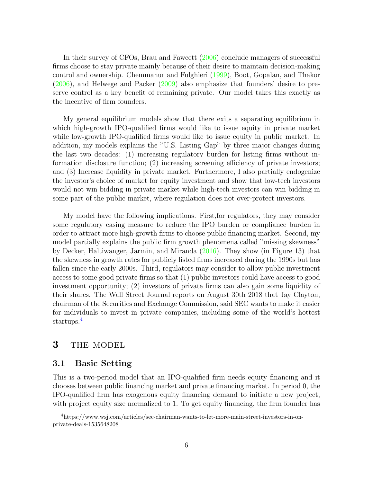In their survey of CFOs, Brau and Fawcett [\(2006\)](#page-19-11) conclude managers of successful firms choose to stay private mainly because of their desire to maintain decision-making control and ownership. Chemmanur and Fulghieri [\(1999\)](#page-19-12), Boot, Gopalan, and Thakor [\(2006\)](#page-19-13), and Helwege and Packer [\(2009\)](#page-19-14) also emphasize that founders' desire to preserve control as a key benefit of remaining private. Our model takes this exactly as the incentive of firm founders.

My general equilibrium models show that there exits a separating equilibrium in which high-growth IPO-qualified firms would like to issue equity in private market while low-growth IPO-qualified firms would like to issue equity in public market. In addition, my models explains the "U.S. Listing Gap" by three major changes during the last two decades: (1) increasing regulatory burden for listing firms without information disclosure function; (2) increasing screening efficiency of private investors; and (3) Increase liquidity in private market. Furthermore, I also partially endogenize the investor's choice of market for equity investment and show that low-tech investors would not win bidding in private market while high-tech investors can win bidding in some part of the public market, where regulation does not over-protect investors.

My model have the following implications. First,for regulators, they may consider some regulatory easing measure to reduce the IPO burden or compliance burden in order to attract more high-growth firms to choose public financing market. Second, my model partially explains the public firm growth phenomena called "missing skewness" by Decker, Haltiwanger, Jarmin, and Miranda [\(2016\)](#page-19-15). They show (in Figure 13) that the skewness in growth rates for publicly listed firms increased during the 1990s but has fallen since the early 2000s. Third, regulators may consider to allow public investment access to some good private firms so that (1) public investors could have access to good investment opportunity; (2) investors of private firms can also gain some liquidity of their shares. The Wall Street Journal reports on August 30th 2018 that Jay Clayton, chairman of the Securities and Exchange Commission, said SEC wants to make it easier for individuals to invest in private companies, including some of the world's hottest startups.<sup>[4](#page-5-0)</sup>

### 3 THE MODEL

#### 3.1 Basic Setting

This is a two-period model that an IPO-qualified firm needs equity financing and it chooses between public financing market and private financing market. In period 0, the IPO-qualified firm has exogenous equity financing demand to initiate a new project, with project equity size normalized to 1. To get equity financing, the firm founder has

<span id="page-5-0"></span><sup>4</sup>https://www.wsj.com/articles/sec-chairman-wants-to-let-more-main-street-investors-in-onprivate-deals-1535648208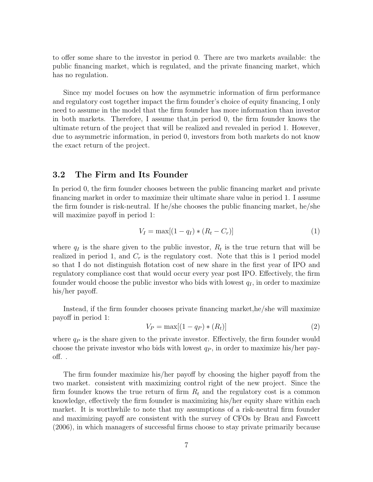to offer some share to the investor in period 0. There are two markets available: the public financing market, which is regulated, and the private financing market, which has no regulation.

Since my model focuses on how the asymmetric information of firm performance and regulatory cost together impact the firm founder's choice of equity financing, I only need to assume in the model that the firm founder has more information than investor in both markets. Therefore, I assume that,in period 0, the firm founder knows the ultimate return of the project that will be realized and revealed in period 1. However, due to asymmetric information, in period 0, investors from both markets do not know the exact return of the project.

#### 3.2 The Firm and Its Founder

In period 0, the firm founder chooses between the public financing market and private financing market in order to maximize their ultimate share value in period 1. I assume the firm founder is risk-neutral. If he/she chooses the public financing market, he/she will maximize payoff in period 1:

$$
V_I = \max[(1 - q_I) * (R_t - C_r)]
$$
\n(1)

where  $q_I$  is the share given to the public investor,  $R_t$  is the true return that will be realized in period 1, and  $C_r$  is the regulatory cost. Note that this is 1 period model so that I do not distinguish flotation cost of new share in the first year of IPO and regulatory compliance cost that would occur every year post IPO. Effectively, the firm founder would choose the public investor who bids with lowest  $q_I$ , in order to maximize his/her payoff.

Instead, if the firm founder chooses private financing market,he/she will maximize payoff in period 1:

$$
V_P = \max[(1 - q_P) * (R_t)]
$$
\n
$$
(2)
$$

where  $q_P$  is the share given to the private investor. Effectively, the firm founder would choose the private investor who bids with lowest  $q_P$ , in order to maximize his/her payoff. .

The firm founder maximize his/her payoff by choosing the higher payoff from the two market. consistent with maximizing control right of the new project. Since the firm founder knows the true return of firm  $R_t$  and the regulatory cost is a common knowledge, effectively the firm founder is maximizing his/her equity share within each market. It is worthwhile to note that my assumptions of a risk-neutral firm founder and maximizing payoff are consistent with the survey of CFOs by Brau and Fawcett (2006), in which managers of successful firms choose to stay private primarily because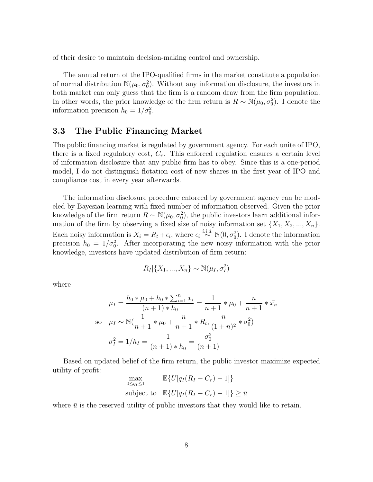of their desire to maintain decision-making control and ownership.

The annual return of the IPO-qualified firms in the market constitute a population of normal distribution  $\mathbb{N}(\mu_0, \sigma_0^2)$ . Without any information disclosure, the investors in both market can only guess that the firm is a random draw from the firm population. In other words, the prior knowledge of the firm return is  $R \sim \mathbb{N}(\mu_0, \sigma_0^2)$ . I denote the information precision  $h_0 = 1/\sigma_0^2$ .

#### 3.3 The Public Financing Market

The public financing market is regulated by government agency. For each unite of IPO, there is a fixed regulatory cost,  $C_r$ . This enforced regulation ensures a certain level of information disclosure that any public firm has to obey. Since this is a one-period model, I do not distinguish flotation cost of new shares in the first year of IPO and compliance cost in every year afterwards.

The information disclosure procedure enforced by government agency can be modeled by Bayesian learning with fixed number of information observed. Given the prior knowledge of the firm return  $R \sim \mathbb{N}(\mu_0, \sigma_0^2)$ , the public investors learn additional information of the firm by observing a fixed size of noisy information set  $\{X_1, X_2, ..., X_n\}$ . Each noisy information is  $X_i = R_t + \epsilon_i$ , where  $\epsilon_i \stackrel{i.i.d.}{\sim} N(0, \sigma_0^2)$ . I denote the information precision  $h_0 = 1/\sigma_0^2$ . After incorporating the new noisy information with the prior knowledge, investors have updated distribution of firm return:

$$
R_I|\{X_1, ..., X_n\} \sim \mathbb{N}(\mu_I, \sigma_I^2)
$$

where

$$
\mu_I = \frac{h_0 * \mu_0 + h_0 * \sum_{i=1}^n x_i}{(n+1) * h_0} = \frac{1}{n+1} * \mu_0 + \frac{n}{n+1} * \bar{x_n}
$$
  
so  $\mu_I \sim \mathbb{N}(\frac{1}{n+1} * \mu_0 + \frac{n}{n+1} * R_t, \frac{n}{(1+n)^2} * \sigma_0^2)$   
 $\sigma_I^2 = 1/h_I = \frac{1}{(n+1) * h_0} = \frac{\sigma_0^2}{(n+1)}$ 

Based on updated belief of the firm return, the public investor maximize expected utility of profit:

$$
\max_{0 \le q_I \le 1} \mathbb{E}\{U[q_I(R_I - C_r) - 1]\}
$$
\nsubject to 
$$
\mathbb{E}\{U[q_I(R_I - C_r) - 1]\} \ge \bar{u}
$$

where  $\bar{u}$  is the reserved utility of public investors that they would like to retain.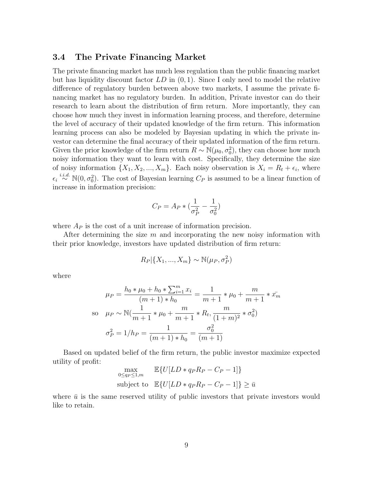#### 3.4 The Private Financing Market

The private financing market has much less regulation than the public financing market but has liquidity discount factor  $LD$  in  $(0, 1)$ . Since I only need to model the relative difference of regulatory burden between above two markets, I assume the private financing market has no regulatory burden. In addition, Private investor can do their research to learn about the distribution of firm return. More importantly, they can choose how much they invest in information learning process, and therefore, determine the level of accuracy of their updated knowledge of the firm return. This information learning process can also be modeled by Bayesian updating in which the private investor can determine the final accuracy of their updated information of the firm return. Given the prior knowledge of the firm return  $R \sim \mathbb{N}(\mu_0, \sigma_0^2)$ , they can choose how much noisy information they want to learn with cost. Specifically, they determine the size of noisy information  $\{X_1, X_2, ..., X_m\}$ . Each noisy observation is  $X_i = R_t + \epsilon_i$ , where  $\epsilon_i \stackrel{i.i.d.}{\sim} \mathbb{N}(0, \sigma_0^2)$ . The cost of Bayesian learning  $C_P$  is assumed to be a linear function of increase in information precision:

$$
C_P = A_P * (\frac{1}{\sigma_P^2} - \frac{1}{\sigma_0^2})
$$

where  $A_P$  is the cost of a unit increase of information precision.

After determining the size  $m$  and incorporating the new noisy information with their prior knowledge, investors have updated distribution of firm return:

$$
R_P | \{X_1,...,X_m\} \sim \mathbb{N}(\mu_P, \sigma_P^2)
$$

where

$$
\mu_P = \frac{h_0 * \mu_0 + h_0 * \sum_{i=1}^m x_i}{(m+1) * h_0} = \frac{1}{m+1} * \mu_0 + \frac{m}{m+1} * x_m^2
$$
  
so  $\mu_P \sim \mathbb{N}(\frac{1}{m+1} * \mu_0 + \frac{m}{m+1} * R_t, \frac{m}{(1+m)^2} * \sigma_0^2)$   
 $\sigma_P^2 = 1/h_P = \frac{1}{(m+1) * h_0} = \frac{\sigma_0^2}{(m+1)}$ 

Based on updated belief of the firm return, the public investor maximize expected utility of profit:

$$
\max_{0 \le q_P \le 1,m} \mathbb{E}\{U[LD * q_P R_P - C_P - 1]\}
$$
  
subject to 
$$
\mathbb{E}\{U[LD * q_P R_P - C_P - 1]\} \ge \bar{u}
$$

where  $\bar{u}$  is the same reserved utility of public investors that private investors would like to retain.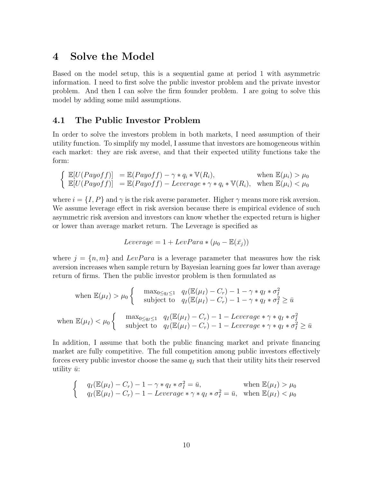### 4 Solve the Model

Based on the model setup, this is a sequential game at period 1 with asymmetric information. I need to first solve the public investor problem and the private investor problem. And then I can solve the firm founder problem. I are going to solve this model by adding some mild assumptions.

#### 4.1 The Public Investor Problem

In order to solve the investors problem in both markets, I need assumption of their utility function. To simplify my model, I assume that investors are homogeneous within each market: they are risk averse, and that their expected utility functions take the form:

$$
\begin{cases} \mathbb{E}[U(Payoff)] = \mathbb{E}(Payoff) - \gamma * q_i * \mathbb{V}(R_i), & \text{when } \mathbb{E}(\mu_i) > \mu_0 \\ \mathbb{E}[U(Payoff)] = \mathbb{E}(Payoff) - Leverage * \gamma * q_i * \mathbb{V}(R_i), & \text{when } \mathbb{E}(\mu_i) < \mu_0 \end{cases}
$$

where  $i = \{I, P\}$  and  $\gamma$  is the risk averse parameter. Higher  $\gamma$  means more risk aversion. We assume leverage effect in risk aversion because there is empirical evidence of such asymmetric risk aversion and investors can know whether the expected return is higher or lower than average market return. The Leverage is specified as

$$
Leverage = 1 + LevPara * (\mu_0 - \mathbb{E}(\bar{x_j}))
$$

where  $j = \{n, m\}$  and LevPara is a leverage parameter that measures how the risk aversion increases when sample return by Bayesian learning goes far lower than average return of firms. Then the public investor problem is then formulated as

when 
$$
\mathbb{E}(\mu_I) > \mu_0 \begin{cases} \max_{0 \le q_I \le 1} q_I(\mathbb{E}(\mu_I) - C_r) - 1 - \gamma * q_I * \sigma_I^2 \\ \text{subject to } q_I(\mathbb{E}(\mu_I) - C_r) - 1 - \gamma * q_I * \sigma_I^2 \ge \bar{u} \end{cases}
$$
  
when 
$$
\mathbb{E}(\mu_I) < \mu_0 \begin{cases} \max_{0 \le q_I \le 1} q_I(\mathbb{E}(\mu_I) - C_r) - 1 - \text{Leverage} * \gamma * q_I * \sigma_I^2 \\ \text{subject to } q_I(\mathbb{E}(\mu_I) - C_r) - 1 - \text{Leverage} * \gamma * q_I * \sigma_I^2 \ge \bar{u} \end{cases}
$$

In addition, I assume that both the public financing market and private financing market are fully competitive. The full competition among public investors effectively forces every public investor choose the same  $q_I$  such that their utility hits their reserved utility  $\bar{u}$ :

$$
\begin{cases}\n q_I(\mathbb{E}(\mu_I) - C_r) - 1 - \gamma * q_I * \sigma_I^2 = \bar{u}, & \text{when } \mathbb{E}(\mu_I) > \mu_0 \\
 q_I(\mathbb{E}(\mu_I) - C_r) - 1 - Leverage * \gamma * q_I * \sigma_I^2 = \bar{u}, & \text{when } \mathbb{E}(\mu_I) < \mu_0\n\end{cases}
$$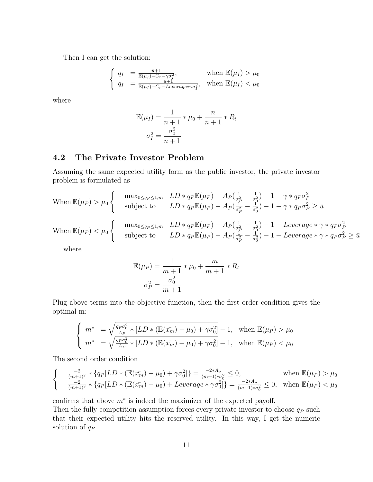Then I can get the solution:

$$
\begin{cases} q_I = \frac{\bar{u}+1}{\mathbb{E}(\mu_I) - C_r - \gamma \sigma_I^2}, & \text{when } \mathbb{E}(\mu_I) > \mu_0\\ q_I = \frac{\bar{u}+1}{\mathbb{E}(\mu_I) - C_r - Leverage*\gamma \sigma_I^2}, & \text{when } \mathbb{E}(\mu_I) < \mu_0 \end{cases}
$$

where

$$
\mathbb{E}(\mu_I) = \frac{1}{n+1} * \mu_0 + \frac{n}{n+1} * R_t
$$

$$
\sigma_I^2 = \frac{\sigma_0^2}{n+1}
$$

#### 4.2 The Private Investor Problem

Assuming the same expected utility form as the public investor, the private investor problem is formulated as

When 
$$
\mathbb{E}(\mu_P) > \mu_0
$$
 
$$
\begin{cases}\n\max_{0 \le q_P \le 1,m} & LD \le q_P \mathbb{E}(\mu_P) - A_P(\frac{1}{\sigma_P^2} - \frac{1}{\sigma_0^2}) - 1 - \gamma \le q_P \sigma_P^2 \\
\text{subject to} & LD \le q_P \mathbb{E}(\mu_P) - A_P(\frac{1}{\sigma_P^2} - \frac{1}{\sigma_0^2}) - 1 - \gamma \le q_P \sigma_P^2 \ge \bar{u} \\
\max_{0 \le q_P \le 1,m} & LD \le q_P \mathbb{E}(\mu_P) - A_P(\frac{1}{\sigma_P^2} - \frac{1}{\sigma_0^2}) - 1 - Leverage \le \gamma \le q_P \sigma_P^2 \\
\text{subject to} & LD \le q_P \mathbb{E}(\mu_P) - A_P(\frac{1}{\sigma_P^2} - \frac{1}{\sigma_0^2}) - 1 - Leverage \le \gamma \le q_P \sigma_P^2 \ge \bar{u}\n\end{cases}
$$

where

$$
\mathbb{E}(\mu_P) = \frac{1}{m+1} * \mu_0 + \frac{m}{m+1} * R_t
$$

$$
\sigma_P^2 = \frac{\sigma_0^2}{m+1}
$$

Plug above terms into the objective function, then the first order condition gives the optimal m:

$$
\begin{cases} m^* = \sqrt{\frac{q_P \sigma_0^2}{A_P} * [LD * (\mathbb{E}(x_m) - \mu_0) + \gamma \sigma_0^2]} - 1, & \text{when } \mathbb{E}(\mu_P) > \mu_0 \\ m^* = \sqrt{\frac{q_P \sigma_0^2}{A_P} * [LD * (\mathbb{E}(x_m) - \mu_0) + \gamma \sigma_0^2]} - 1, & \text{when } \mathbb{E}(\mu_P) < \mu_0 \end{cases}
$$

The second order condition

$$
\begin{cases}\n\frac{-2}{(m+1)^3} * \{q_P[LD * (\mathbb{E}(x_m^-) - \mu_0) + \gamma \sigma_0^2] \} = \frac{-2*A_P}{(m+1)*\sigma_0^2} \le 0, & \text{when } \mathbb{E}(\mu_P) > \mu_0 \\
\frac{-2}{(m+1)^3} * \{q_P[LD * (\mathbb{E}(x_m^-) - \mu_0) + Leverage * \gamma \sigma_0^2] \} = \frac{-2*A_P}{(m+1)*\sigma_0^2} \le 0, & \text{when } \mathbb{E}(\mu_P) < \mu_0\n\end{cases}
$$

confirms that above  $m^*$  is indeed the maximizer of the expected payoff.

Then the fully competition assumption forces every private investor to choose  $q_P$  such that their expected utility hits the reserved utility. In this way, I get the numeric solution of  $q_P$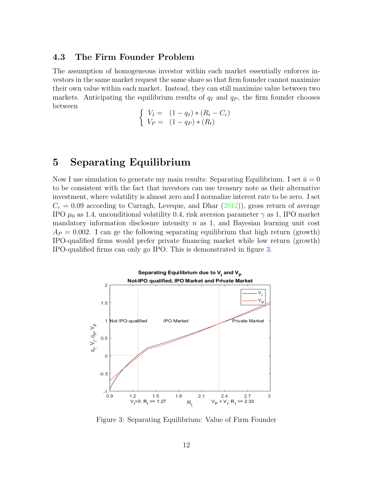#### 4.3 The Firm Founder Problem

The assumption of homogeneous investor within each market essentially enforces investors in the same market request the same share so that firm founder cannot maximize their own value within each market. Instead, they can still maximize value between two markets. Anticipating the equilibrium results of  $q_I$  and  $q_P$ , the firm founder chooses between

$$
\begin{cases}\nV_I = (1 - q_I) * (R_t - C_r) \\
V_P = (1 - q_P) * (R_t)\n\end{cases}
$$

# 5 Separating Equilibrium

Now I use simulation to generate my main results: Separating Equilibrium. I set  $\bar{u} = 0$ to be consistent with the fact that investors can use treasury note as their alternative investment, where volatility is almost zero and I normalize interest rate to be zero. I set  $C_r = 0.09$  according to Curragh, Leveque, and Dhar  $(2012)$ ), gross return of average IPO  $\mu_0$  as 1.4, unconditional volatility 0.4, risk aversion parameter  $\gamma$  as 1, IPO market mandatory information disclosure intensity  $n$  as 1, and Bayesian learning unit cost  $A_P = 0.002$ . I can ge the following separating equilibrium that high return (growth) IPO-qualified firms would prefer private financing market while low return (growth) IPO-qualified firms can only go IPO. This is demonstrated in figure [3.](#page-11-0)



<span id="page-11-0"></span>Figure 3: Separating Equilibrium: Value of Firm Founder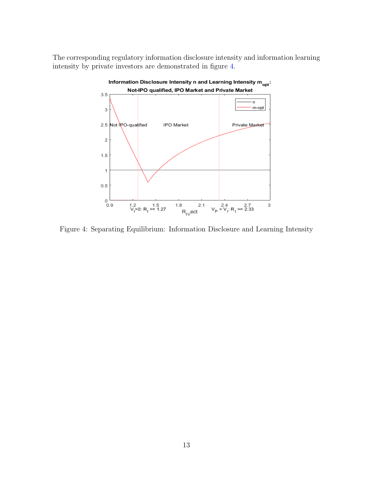The corresponding regulatory information disclosure intensity and information learning intensity by private investors are demonstrated in figure [4.](#page-12-0)



<span id="page-12-0"></span>Figure 4: Separating Equilibrium: Information Disclosure and Learning Intensity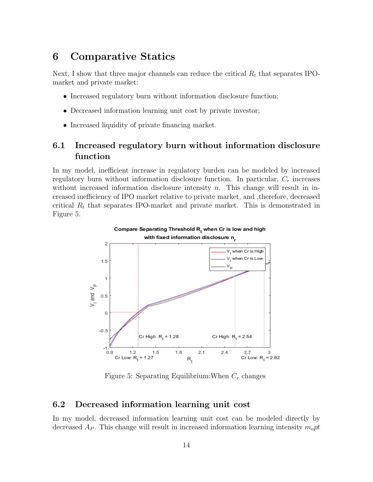### 6 Comparative Statics

Next, I show that three major channels can reduce the critical  $R_t$  that separates IPOmarket and private market:

- Increased regulatory burn without information disclosure function;
- Decreased information learning unit cost by private investor;
- Increased liquidity of private financing market.

### 6.1 Increased regulatory burn without information disclosure function

In my model, inefficient increase in regulatory burden can be modeled by increased regulatory burn without information disclosure function. In particular,  $C_r$  increases without increased information disclosure intensity  $n$ . This change will result in increased inefficiency of IPO market relative to private market, and ,therefore, decreased critical  $R_t$  that separates IPO-market and private market. This is demonstrated in Figure [5.](#page-13-0)



<span id="page-13-0"></span>Figure 5: Separating Equilibrium: When  $C_r$  changes

#### 6.2 Decreased information learning unit cost

In my model, decreased information learning unit cost can be modeled directly by decreased  $A_P$ . This change will result in increased information learning intensity  $m_0 pt$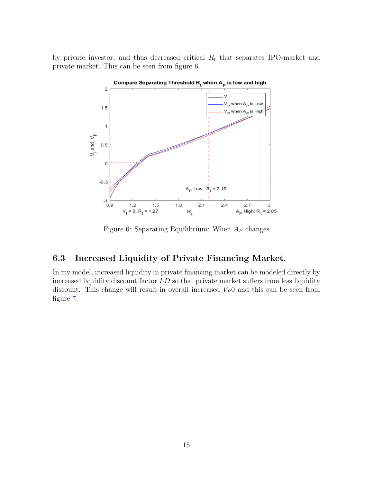by private investor, and thus decreased critical  $R_t$  that separates IPO-market and private market. This can be seen from figure [6.](#page-14-0)



<span id="page-14-0"></span>Figure 6: Separating Equilibrium: When  $A_P$  changes

### 6.3 Increased Liquidity of Private Financing Market.

In my model, increased liquidity in private financing market can be modeled directly by increased liquidity discount factor  $LD$  so that private market suffers from less liquidity discount. This change will result in overall increased  $V_P$ 0 and this can be seen from figure [7.](#page-15-0)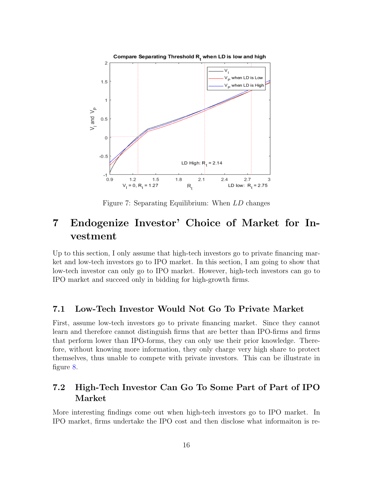

<span id="page-15-0"></span>Figure 7: Separating Equilibrium: When LD changes

# 7 Endogenize Investor' Choice of Market for Investment

Up to this section, I only assume that high-tech investors go to private financing market and low-tech investors go to IPO market. In this section, I am going to show that low-tech investor can only go to IPO market. However, high-tech investors can go to IPO market and succeed only in bidding for high-growth firms.

#### 7.1 Low-Tech Investor Would Not Go To Private Market

First, assume low-tech investors go to private financing market. Since they cannot learn and therefore cannot distinguish firms that are better than IPO-firms and firms that perform lower than IPO-forms, they can only use their prior knowledge. Therefore, without knowing more information, they only charge very high share to protect themselves, thus unable to compete with private investors. This can be illustrate in figure [8.](#page-16-0)

### 7.2 High-Tech Investor Can Go To Some Part of Part of IPO Market

More interesting findings come out when high-tech investors go to IPO market. In IPO market, firms undertake the IPO cost and then disclose what informaiton is re-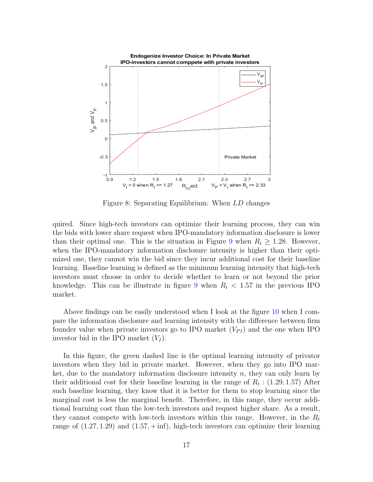

<span id="page-16-0"></span>Figure 8: Separating Equilibrium: When LD changes

quired. Since high-tech investors can optimize their learning process, they can win the bids with lower share request when IPO-mandatory information disclosure is lower than their optimal one. This is the situation in Figure [9](#page-17-0) when  $R_t \geq 1.28$ . However, when the IPO-mandatory information disclosure intensity is higher than their optimized one, they cannot win the bid since they incur additional cost for their baseline learning. Baseline learning is defined as the minimum learning intensity that high-tech investors must choose in order to decide whether to learn or not beyond the prior knowledge. This can be illustrate in figure [9](#page-17-0) when  $R_t < 1.57$  in the previous IPO market.

Above findings can be easily understood when I look at the figure [10](#page-18-0) when I compare the information disclosure and learning intensity with the difference between firm founder value when private investors go to IPO market  $(V_{PI})$  and the one when IPO investor bid in the IPO market  $(V_I)$ .

In this figure, the green dashed line is the optimal learning intensity of privator investors when they bid in private market. However, when they go into IPO market, due to the mandatory information disclosure intensity  $n$ , they can only learn by their additional cost for their baseline learning in the range of  $R_t$ : (1.29, 1.57) After such baseline learning, they know that it is better for them to stop learning since the marginal cost is less the marginal benefit. Therefore, in this range, they occur additional learning cost than the low-tech investors and request higher share. As a result, they cannot compete with low-tech investors within this range. However, in the  $R_t$ range of  $(1.27, 1.29)$  and  $(1.57, + \text{inf})$ , high-tech investors can optimize their learning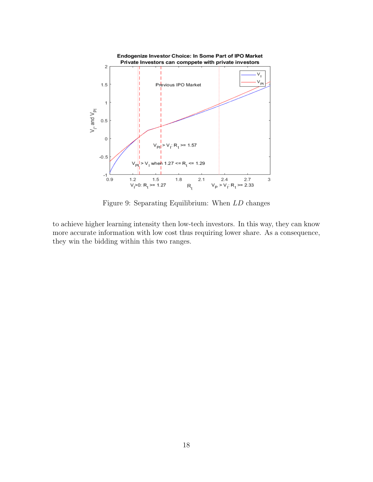

<span id="page-17-0"></span>Figure 9: Separating Equilibrium: When LD changes

to achieve higher learning intensity then low-tech investors. In this way, they can know more accurate information with low cost thus requiring lower share. As a consequence, they win the bidding within this two ranges.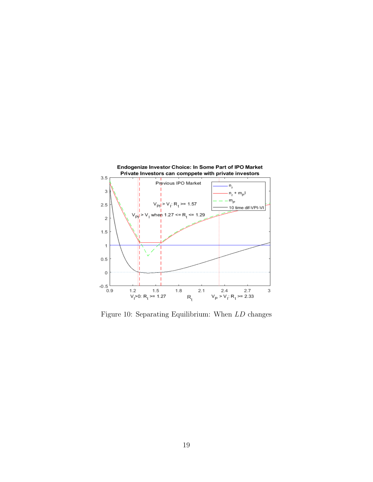

<span id="page-18-0"></span>Figure 10: Separating Equilibrium: When LD changes